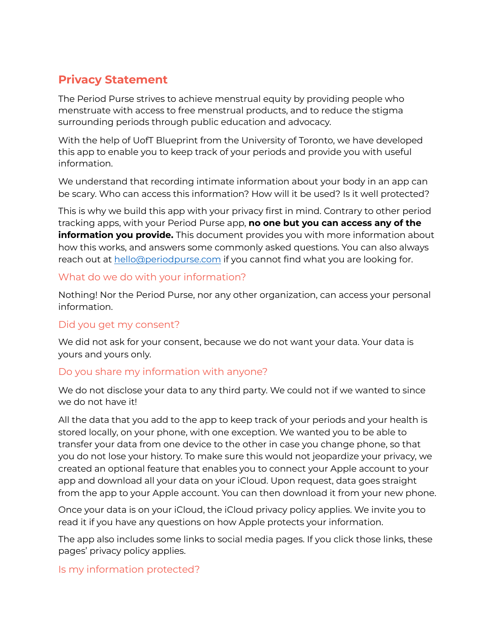# **Privacy Statement**

The Period Purse strives to achieve menstrual equity by providing people who menstruate with access to free menstrual products, and to reduce the stigma surrounding periods through public education and advocacy.

With the help of UofT Blueprint from the University of Toronto, we have developed this app to enable you to keep track of your periods and provide you with useful information.

We understand that recording intimate information about your body in an app can be scary. Who can access this information? How will it be used? Is it well protected?

This is why we build this app with your privacy first in mind. Contrary to other period tracking apps, with your Period Purse app, **no one but you can access any of the information you provide.** This document provides you with more information about how this works, and answers some commonly asked questions. You can also always reach out at [hello@periodpurse.com](mailto:hello@periodpurse.com) if you cannot find what you are looking for.

### What do we do with your information?

Nothing! Nor the Period Purse, nor any other organization, can access your personal information.

## Did you get my consent?

We did not ask for your consent, because we do not want your data. Your data is yours and yours only.

## Do you share my information with anyone?

We do not disclose your data to any third party. We could not if we wanted to since we do not have it!

All the data that you add to the app to keep track of your periods and your health is stored locally, on your phone, with one exception. We wanted you to be able to transfer your data from one device to the other in case you change phone, so that you do not lose your history. To make sure this would not jeopardize your privacy, we created an optional feature that enables you to connect your Apple account to your app and download all your data on your iCloud. Upon request, data goes straight from the app to your Apple account. You can then download it from your new phone.

Once your data is on your iCloud, the iCloud privacy policy applies. We invite you to read it if you have any questions on how Apple protects your information.

The app also includes some links to social media pages. If you click those links, these pages' privacy policy applies.

Is my information protected?